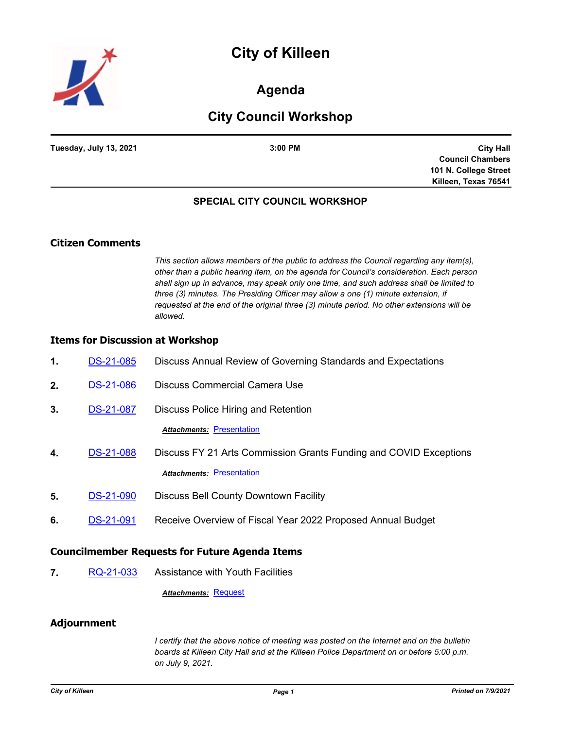# **City of Killeen**



## **Agenda**

# **City Council Workshop**

| Tuesday, July 13, 2021 | 3:00 PM |
|------------------------|---------|

**City Hall Council Chambers 101 N. College Street Killeen, Texas 76541**

### **SPECIAL CITY COUNCIL WORKSHOP**

### **Citizen Comments**

*This section allows members of the public to address the Council regarding any item(s), other than a public hearing item, on the agenda for Council's consideration. Each person shall sign up in advance, may speak only one time, and such address shall be limited to three (3) minutes. The Presiding Officer may allow a one (1) minute extension, if requested at the end of the original three (3) minute period. No other extensions will be allowed.*

#### **Items for Discussion at Workshop**

| 1. | <b>DS-21-085</b> | Discuss Annual Review of Governing Standards and Expectations     |
|----|------------------|-------------------------------------------------------------------|
| 2. | DS-21-086        | Discuss Commercial Camera Use                                     |
| 3. | DS-21-087        | Discuss Police Hiring and Retention                               |
|    |                  | <b>Attachments: Presentation</b>                                  |
| 4. | <b>DS-21-088</b> | Discuss FY 21 Arts Commission Grants Funding and COVID Exceptions |
|    |                  | <b>Attachments: Presentation</b>                                  |
| 5. | DS-21-090        | Discuss Bell County Downtown Facility                             |
| 6. | <b>DS-21-091</b> | Receive Overview of Fiscal Year 2022 Proposed Annual Budget       |
|    |                  |                                                                   |

### **Councilmember Requests for Future Agenda Items**

**7.** [RQ-21-033](http://killeen.legistar.com/gateway.aspx?m=l&id=/matter.aspx?key=5546) Assistance with Youth Facilities

*Attachments:* [Request](http://killeen.legistar.com/gateway.aspx?M=F&ID=14dbd3fe-c3e2-470d-bf59-f61a07824ac7.pdf)

### **Adjournment**

*I certify that the above notice of meeting was posted on the Internet and on the bulletin boards at Killeen City Hall and at the Killeen Police Department on or before 5:00 p.m. on July 9, 2021.*